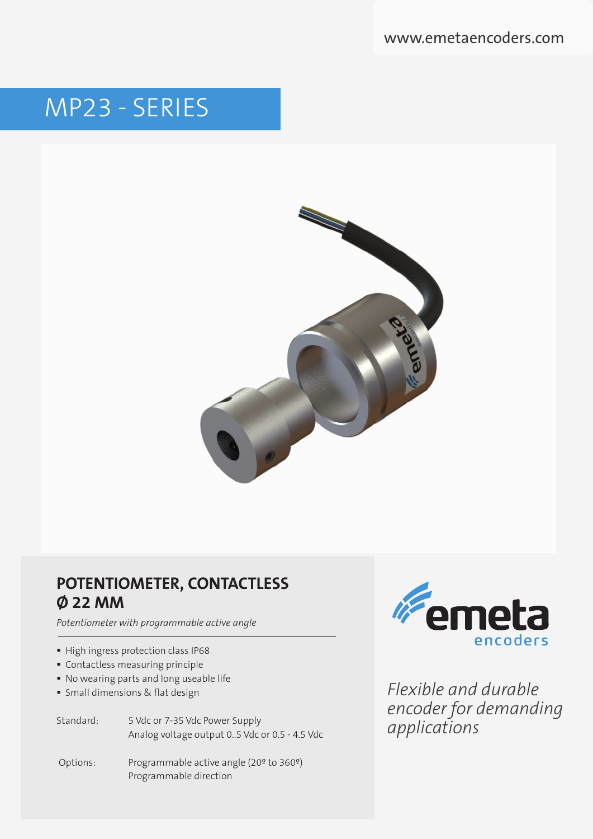www.emetaencoders.com

# MP23 - SERIES



## **POTENTIOMETER, CONTACTLESS Ø 22 MM**

*Potentiometer with programmable active angle*

- High ingress protection class IP68
- Contactless measuring principle
- No wearing parts and long useable life
- Small dimensions & flat design

Standard: 5 Vdc or 7-35 Vdc Power Supply Analog voltage output 0..5 Vdc or 0.5 - 4.5 Vdc

 Options: Programmable active angle (20º to 360º) Programmable direction



*Flexible and durable encoder for demanding applications*